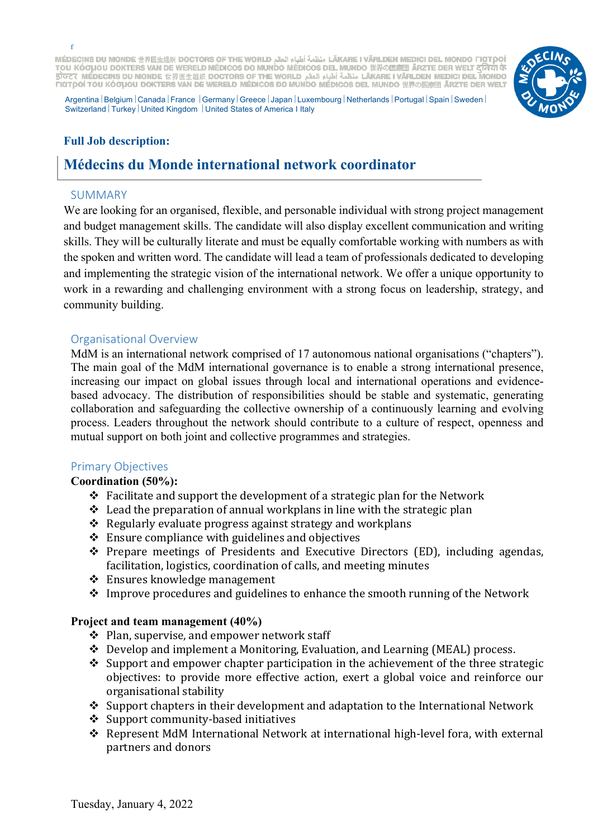LÄKARE I VÄRLDEN MEDICI DEL MONDO FICITOOÍ منظمة أطباع العالم OCTORS OF THE WORLD بالقامة للمنافسة لمقبلة أطباع TOU KÓCJIOU DOKTERS VAN DE WERELD MÉDICOS DO MUNDO MÉDICOS DEL MUNDO THE MEREL DER WELT CIRCU AT ALL ANDRE TOU<br>SIGEZ ( MÉDECINS DU MONDE TRETE DER MERELD MÉDICOS DO MUNDO MÉDICOS DEL MUNDO TRANSE I VARLDEN MEDICI DEL MOND **TIGTOOI TOU KÓGUOU DOKTERS VAN DE WERELD MÉDICOS DO MUNDO MÉDICOS DEL MUNDO 世界の医療団 ÄRZTE DER WELT** 



Argentina | Belgium | Canada | France | Germany | Greece | Japan | Luxembourg | Netherlands | Portugal | Spain | Sweden | Switzerland Turkey | United Kingdom | United States of America I Italy

## **Full Job description:**

# **Médecins du Monde international network coordinator**

#### SUMMARY

f

We are looking for an organised, flexible, and personable individual with strong project management and budget management skills. The candidate will also display excellent communication and writing skills. They will be culturally literate and must be equally comfortable working with numbers as with the spoken and written word. The candidate will lead a team of professionals dedicated to developing and implementing the strategic vision of the international network. We offer a unique opportunity to work in a rewarding and challenging environment with a strong focus on leadership, strategy, and community building.

#### Organisational Overview

MdM is an international network comprised of 17 autonomous national organisations ("chapters"). The main goal of the MdM international governance is to enable a strong international presence, increasing our impact on global issues through local and international operations and evidencebased advocacy. The distribution of responsibilities should be stable and systematic, generating collaboration and safeguarding the collective ownership of a continuously learning and evolving process. Leaders throughout the network should contribute to a culture of respect, openness and mutual support on both joint and collective programmes and strategies.

#### Primary Objectives

#### **Coordination (50%):**

- $\cdot$  Facilitate and support the development of a strategic plan for the Network
- $\cdot$  Lead the preparation of annual workplans in line with the strategic plan
- $\triangle$  Regularly evaluate progress against strategy and workplans
- $\div$  Ensure compliance with guidelines and objectives
- $\div$  Prepare meetings of Presidents and Executive Directors (ED), including agendas, facilitation, logistics, coordination of calls, and meeting minutes
- $\div$  Ensures knowledge management
- $\cdot$  Improve procedures and guidelines to enhance the smooth running of the Network

#### **Project and team management (40%)**

- ❖ Plan, supervise, and empower network staff
- $\div$  Develop and implement a Monitoring, Evaluation, and Learning (MEAL) process.
- $\cdot$  Support and empower chapter participation in the achievement of the three strategic objectives: to provide more effective action, exert a global voice and reinforce our organisational stability
- $\cdot$  Support chapters in their development and adaptation to the International Network
- $\div$  Support community-based initiatives
- $\triangle$  Represent MdM International Network at international high-level fora, with external partners and donors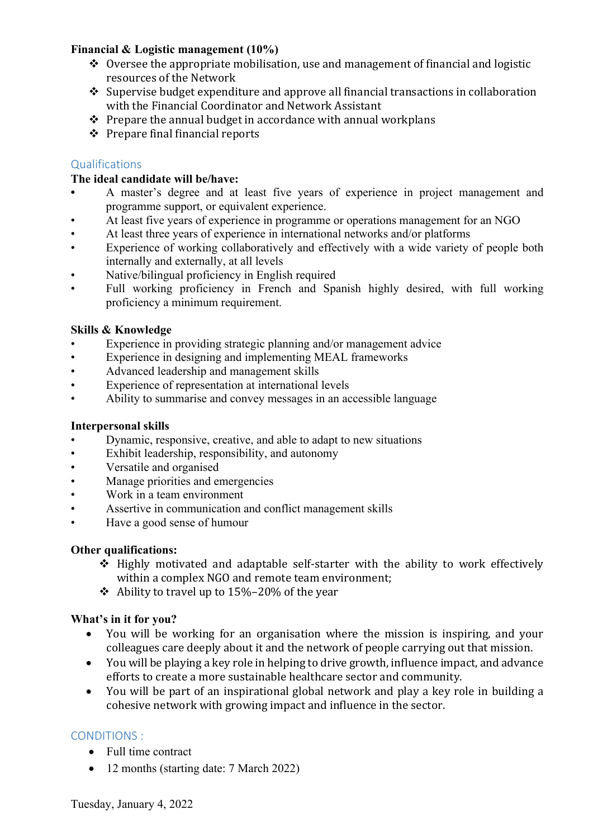## **Financial & Logistic management (10%)**

- $\cdot$  Oversee the appropriate mobilisation, use and management of financial and logistic resources of the Network
- $\cdot$  Supervise budget expenditure and approve all financial transactions in collaboration with the Financial Coordinator and Network Assistant
- $\cdot \cdot$  Prepare the annual budget in accordance with annual workplans
- $\div$  Prepare final financial reports

# Qualifications

# **The ideal candidate will be/have:**

- **•** A master's degree and at least five years of experience in project management and programme support, or equivalent experience.
- At least five years of experience in programme or operations management for an NGO
- At least three years of experience in international networks and/or platforms
- Experience of working collaboratively and effectively with a wide variety of people both internally and externally, at all levels
- Native/bilingual proficiency in English required
- Full working proficiency in French and Spanish highly desired, with full working proficiency a minimum requirement.

# **Skills & Knowledge**

- Experience in providing strategic planning and/or management advice
- Experience in designing and implementing MEAL frameworks
- Advanced leadership and management skills
- Experience of representation at international levels
- Ability to summarise and convey messages in an accessible language

## **Interpersonal skills**

- Dynamic, responsive, creative, and able to adapt to new situations
- Exhibit leadership, responsibility, and autonomy
- Versatile and organised
- Manage priorities and emergencies
- Work in a team environment
- Assertive in communication and conflict management skills
- Have a good sense of humour

# **Other qualifications:**

- \* Highly motivated and adaptable self-starter with the ability to work effectively within a complex NGO and remote team environment;
- $\div$  Ability to travel up to 15%–20% of the year

# **What's in it for you?**

- You will be working for an organisation where the mission is inspiring, and your colleagues care deeply about it and the network of people carrying out that mission.
- You will be playing a key role in helping to drive growth, influence impact, and advance efforts to create a more sustainable healthcare sector and community.
- You will be part of an inspirational global network and play a key role in building a cohesive network with growing impact and influence in the sector.

# CONDITIONS :

- Full time contract
- 12 months (starting date: 7 March 2022)